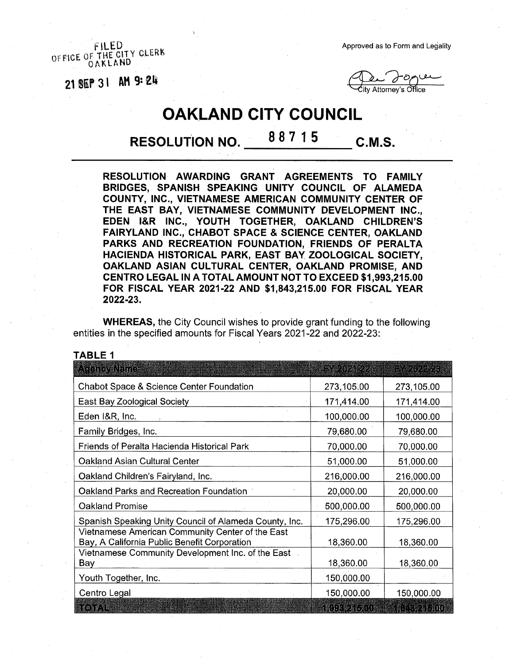FILED<br>OFFICE OF THE CITY CLERK OAKLAND

21 SEP 31 AM 9:24

Approved as to Form and Legality

ity Attorney's Office

## **OAKLAND CITY COUNCIL**

**RESOLUTION NO. 8 <sup>8</sup> 7 <sup>1</sup> 5 C.M.S.**

**RESOLUTION AWARDING GRANT AGREEMENTS TO FAMILY BRIDGES, SPANISH SPEAKING UNITY COUNCIL OF ALAMEDA COUNTY, INC., VIETNAMESE AMERICAN COMMUNITY CENTER OF THE EAST BAY, VIETNAMESE COMMUNITY DEVELOPMENT INC., EDEN l&R INC., YOUTH TOGETHER, OAKLAND CHILDREN'S FAIRYLAND INC., CHABOT SPACE & SCIENCE CENTER, OAKLAND PARKS AND RECREATION FOUNDATION, FRIENDS OF PERALTA HACIENDA HISTORICAL PARK, EAST BAY ZOOLOGICAL SOCIETY, OAKLAND ASIAN CULTURAL CENTER, OAKLAND PROMISE, AND CENTRO LEGAL IN A TOTAL AMOUNT NOT TO EXCEED \$1,993,215.00 FOR FISCAL YEAR 2021-22 AND \$1,843,215.00 FOR FISCAL YEAR 2022-23.**

**WHEREAS,** the City Council wishes to provide grant funding to the following entities in the specified amounts for Fiscal Years 2021-22 and 2022-23:

| TABLE 1                                                                                          |                  |                   |
|--------------------------------------------------------------------------------------------------|------------------|-------------------|
| a teleprovisione                                                                                 | <b>EXPORTER</b>  | <b>RACCERSON</b>  |
| <b>Chabot Space &amp; Science Center Foundation</b>                                              | 273,105.00       | 273,105.00        |
| East Bay Zoological Society                                                                      | 171,414.00       | 171,414.00        |
| Eden I&R, Inc.                                                                                   | 100,000.00       | 100,000.00        |
| Family Bridges, Inc.                                                                             | 79,680.00        | 79,680.00         |
| Friends of Peralta Hacienda Historical Park                                                      | 70,000.00        | 70,000.00         |
| Oakland Asian Cultural Center                                                                    | 51,000.00        | 51,000.00         |
| Oakland Children's Fairyland, Inc.                                                               | 216,000.00       | 216,000.00        |
| Oakland Parks and Recreation Foundation                                                          | 20,000.00        | 20,000.00         |
| <b>Oakland Promise</b>                                                                           | 500,000.00       | 500,000.00        |
| Spanish Speaking Unity Council of Alameda County, Inc.                                           | 175,296.00       | 175,296.00        |
| Vietnamese American Community Center of the East<br>Bay, A California Public Benefit Corporation | 18,360.00        | 18,360.00         |
| Vietnamese Community Development Inc. of the East<br>Bay                                         | 18,360.00        | 18,360.00         |
| Youth Together, Inc.                                                                             | 150,000.00       |                   |
| Centro Legal                                                                                     | 150,000.00       | 150,000.00        |
| <b>HOTAL</b>                                                                                     | <b>REFERACIO</b> | <b>IN SECTION</b> |